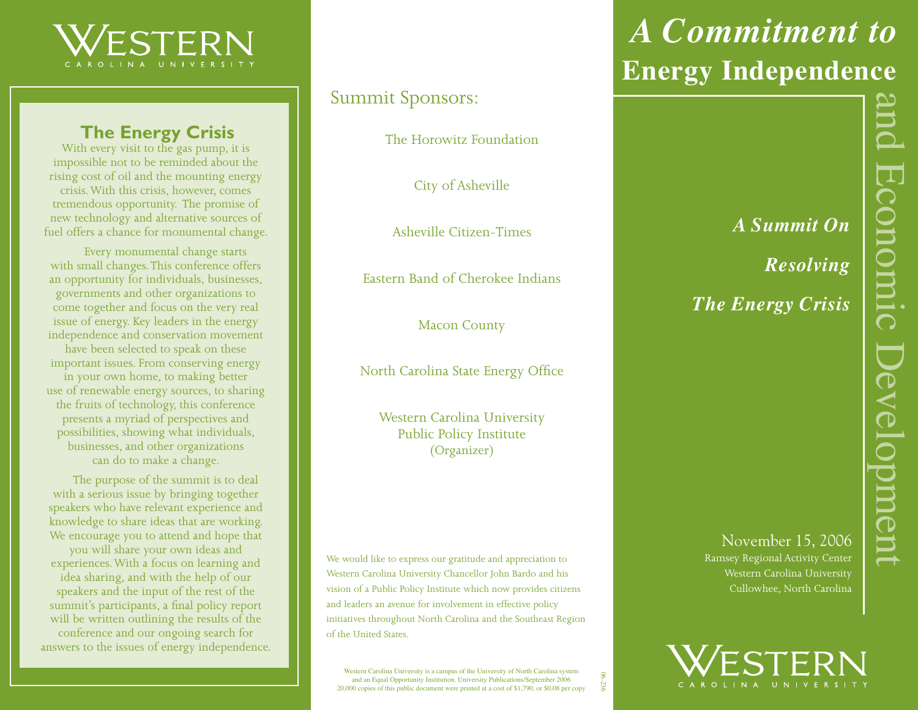

### **The Energy Crisis**

With every visit to the gas pump, it is impossible not to be reminded about the rising cost of oil and the mounting energy crisis. With this crisis, however, comes tremendous opportunity. The promise of new technology and alternative sources of fuel offers a chance for monumental change.

Every monumental change starts with small changes. This conference offers an opportunity for individuals, businesses, governments and other organizations to come together and focus on the very real issue of energy. Key leaders in the energy independence and conservation movement have been selected to speak on these important issues. From conserving energy in your own home, to making better use of renewable energy sources, to sharing the fruits of technology, this conference presents a myriad of perspectives and possibilities, showing what individuals, businesses, and other organizations can do to make a change.

The purpose of the summit is to deal with a serious issue by bringing together speakers who have relevant experience and knowledge to share ideas that are working. We encourage you to attend and hope that you will share your own ideas and experiences. With a focus on learning and idea sharing, and with the help of our speakers and the input of the rest of the summit's participants, a final policy report will be written outlining the results of the conference and our ongoing search for answers to the issues of energy independence.

### Summit Sponsors:

The Horowitz Foundation

City of Asheville

Asheville Citizen-Times

Eastern Band of Cherokee Indians

Macon County

North Carolina State Energy Office

Western Carolina University Public Policy Institute (Organizer)

We would like to express our gratitude and appreciation to Western Carolina University Chancellor John Bardo and his vision of a Public Policy Institute which now provides citizens and leaders an avenue for involvement in effective policy initiatives throughout North Carolina and the Southeast Region of the United States.

Western Carolina University is a campus of the University of North Carolina system and an Equal Opportunity Institution. University Publications/September 2006 20,000 copies of this public document were printed at a cost of \$1,790, or \$0.08 per copy

06-236

# *A Commitment to*  **Energy Independence**

*A Summit On Resolving*

*The Energy Crisis*